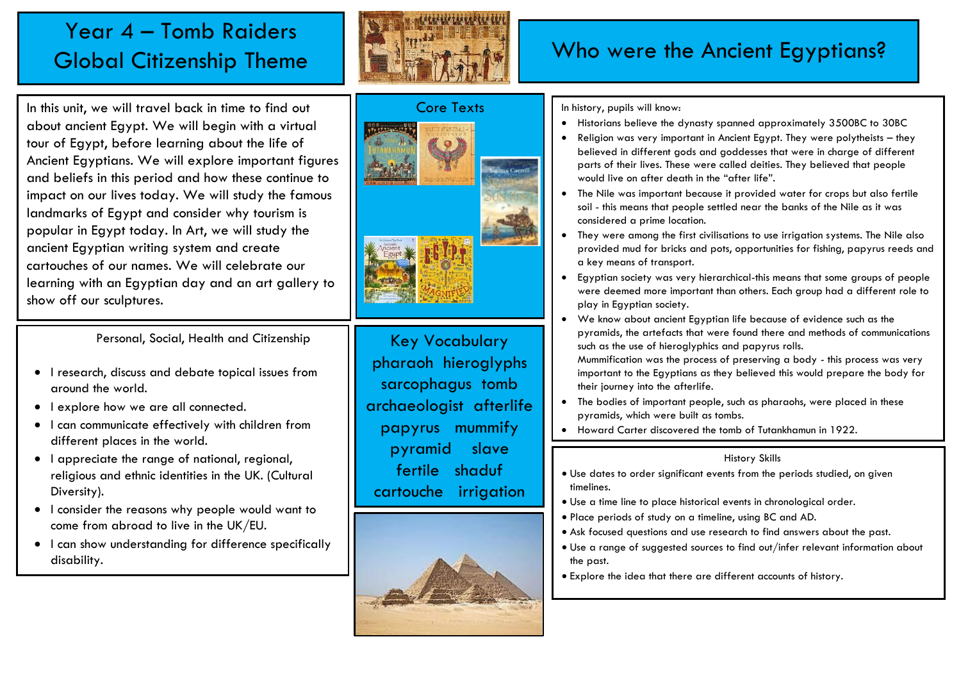## Year 4 – Tomb Raiders Global Citizenship Theme



### Who were the Ancient Egyptians?

In this unit, we will travel back in time to find out about ancient Egypt. We will begin with a virtual tour of Egypt, before learning about the life of Ancient Egyptians. We will explore important figures and beliefs in this period and how these continue to impact on our lives today. We will study the famous landmarks of Egypt and consider why tourism is popular in Egypt today. In Art, we will study the ancient Egyptian writing system and create cartouches of our names. We will celebrate our learning with an Egyptian day and an art gallery to show off our sculptures.

Personal, Social, Health and Citizenship

- I research, discuss and debate topical issues from around the world.
- I explore how we are all connected.
- I can communicate effectively with children from different places in the world.
- I appreciate the range of national, regional, religious and ethnic identities in the UK. (Cultural Diversity).
- I consider the reasons why people would want to come from abroad to live in the UK/EU.
- I can show understanding for difference specifically disability.



Key Vocabulary pharaoh hieroglyphs sarcophagus tomb archaeologist afterlife papyrus mummify pyramid slave fertile shaduf cartouche irrigation



#### In history, pupils will know:

- Historians believe the dynasty spanned approximately 3500BC to 30BC
- Religion was very important in Ancient Egypt. They were polytheists they believed in different gods and goddesses that were in charge of different parts of their lives. These were called deities. They believed that people would live on after death in the "after life".
- The Nile was important because it provided water for crops but also fertile soil - this means that people settled near the banks of the Nile as it was considered a prime location.
- They were among the first civilisations to use irrigation systems. The Nile also provided mud for bricks and pots, opportunities for fishing, papyrus reeds and a key means of transport.
- Egyptian society was very hierarchical-this means that some groups of people were deemed more important than others. Each group had a different role to play in Egyptian society.
- We know about ancient Egyptian life because of evidence such as the pyramids, the artefacts that were found there and methods of communications such as the use of hieroglyphics and papyrus rolls.

Mummification was the process of preserving a body - this process was very important to the Egyptians as they believed this would prepare the body for their journey into the afterlife.

- The bodies of important people, such as pharaohs, were placed in these pyramids, which were built as tombs.
- Howard Carter discovered the tomb of Tutankhamun in 1922.

#### History Skills

- Use dates to order significant events from the periods studied, on given timelines.
- Use a time line to place historical events in chronological order.
- Place periods of study on a timeline, using BC and AD.
- Ask focused questions and use research to find answers about the past.
- Use a range of suggested sources to find out/infer relevant information about the past.
- Explore the idea that there are different accounts of history.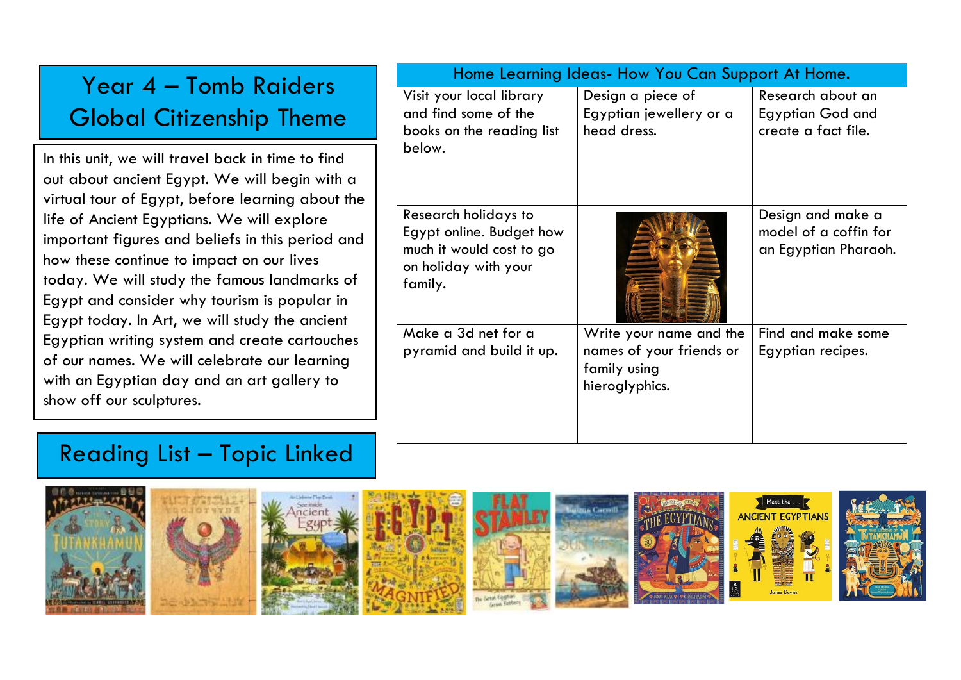| Year 4 - Tomb Raiders<br><b>Global Citizenship Theme</b>                                                                                                                                                                                                                                                                                                                                                                                                                                                                                                                                                                           | Home Learning Ideas- How You Can Support At Home.                                                                         |                                                                                       |                                                                     |
|------------------------------------------------------------------------------------------------------------------------------------------------------------------------------------------------------------------------------------------------------------------------------------------------------------------------------------------------------------------------------------------------------------------------------------------------------------------------------------------------------------------------------------------------------------------------------------------------------------------------------------|---------------------------------------------------------------------------------------------------------------------------|---------------------------------------------------------------------------------------|---------------------------------------------------------------------|
|                                                                                                                                                                                                                                                                                                                                                                                                                                                                                                                                                                                                                                    | Visit your local library<br>and find some of the<br>books on the reading list                                             | Design a piece of<br>Egyptian jewellery or a<br>head dress.                           | Research about an<br><b>Egyptian God and</b><br>create a fact file. |
| In this unit, we will travel back in time to find<br>out about ancient Egypt. We will begin with a<br>virtual tour of Egypt, before learning about the<br>life of Ancient Egyptians. We will explore<br>important figures and beliefs in this period and<br>how these continue to impact on our lives<br>today. We will study the famous landmarks of<br>Egypt and consider why tourism is popular in<br>Egypt today. In Art, we will study the ancient<br>Egyptian writing system and create cartouches<br>of our names. We will celebrate our learning<br>with an Egyptian day and an art gallery to<br>show off our sculptures. | below.<br>Research holidays to<br>Egypt online. Budget how<br>much it would cost to go<br>on holiday with your<br>family. |                                                                                       | Design and make a<br>model of a coffin for<br>an Egyptian Pharaoh.  |
|                                                                                                                                                                                                                                                                                                                                                                                                                                                                                                                                                                                                                                    | Make a 3d net for a<br>pyramid and build it up.                                                                           | Write your name and the<br>names of your friends or<br>family using<br>hieroglyphics. | Find and make some<br>Egyptian recipes.                             |

# Reading List – Topic Linked